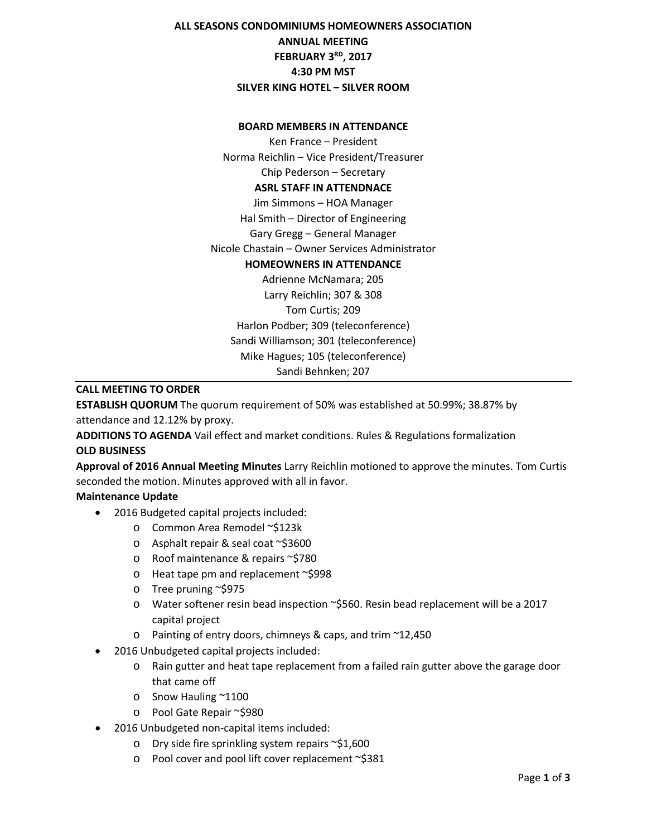# **ALL SEASONS CONDOMINIUMS HOMEOWNERS ASSOCIATION ANNUAL MEETING FEBRUARY 3RD, 2017 4:30 PM MST SILVER KING HOTEL – SILVER ROOM**

#### **BOARD MEMBERS IN ATTENDANCE**

Ken France – President Norma Reichlin – Vice President/Treasurer Chip Pederson – Secretary **ASRL STAFF IN ATTENDNACE** Jim Simmons – HOA Manager Hal Smith – Director of Engineering Gary Gregg – General Manager Nicole Chastain – Owner Services Administrator **HOMEOWNERS IN ATTENDANCE** Adrienne McNamara; 205 Larry Reichlin; 307 & 308 Tom Curtis; 209 Harlon Podber; 309 (teleconference) Sandi Williamson; 301 (teleconference) Mike Hagues; 105 (teleconference) Sandi Behnken; 207

## **CALL MEETING TO ORDER**

**ESTABLISH QUORUM** The quorum requirement of 50% was established at 50.99%; 38.87% by attendance and 12.12% by proxy.

**ADDITIONS TO AGENDA** Vail effect and market conditions. Rules & Regulations formalization **OLD BUSINESS**

**Approval of 2016 Annual Meeting Minutes** Larry Reichlin motioned to approve the minutes. Tom Curtis seconded the motion. Minutes approved with all in favor.

## **Maintenance Update**

- 2016 Budgeted capital projects included:
	- o Common Area Remodel ~\$123k
	- o Asphalt repair & seal coat ~\$3600
	- o Roof maintenance & repairs ~\$780
	- o Heat tape pm and replacement ~\$998
	- o Tree pruning ~\$975
	- o Water softener resin bead inspection ~\$560. Resin bead replacement will be a 2017 capital project
	- o Painting of entry doors, chimneys & caps, and trim ~12,450
- 2016 Unbudgeted capital projects included:
	- o Rain gutter and heat tape replacement from a failed rain gutter above the garage door that came off
	- o Snow Hauling ~1100
	- o Pool Gate Repair ~\$980
- 2016 Unbudgeted non-capital items included:
	- o Dry side fire sprinkling system repairs ~\$1,600
	- o Pool cover and pool lift cover replacement ~\$381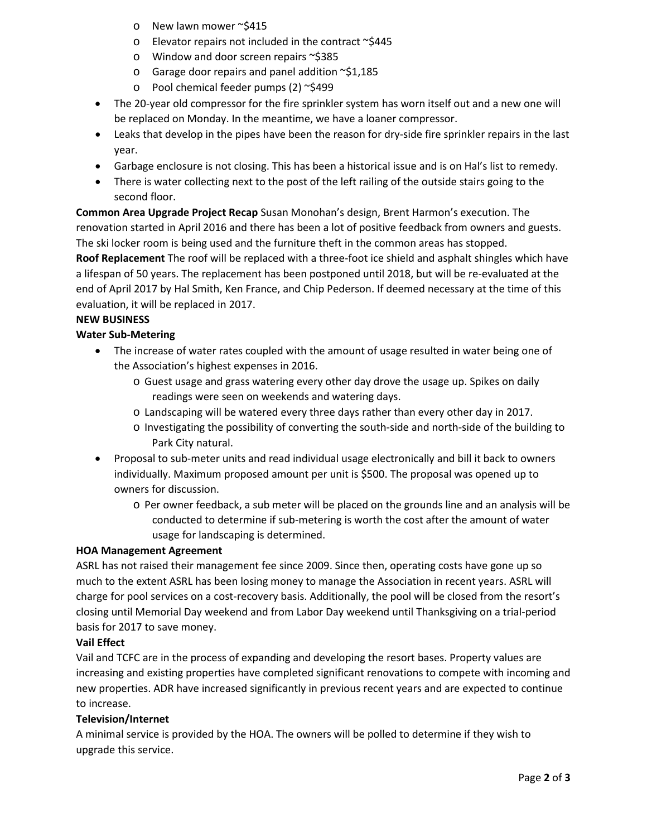- o New lawn mower ~\$415
- $\circ$  Elevator repairs not included in the contract  $\sim$ \$445
- o Window and door screen repairs ~\$385
- $\circ$  Garage door repairs and panel addition  $\sim$ \$1,185
- o Pool chemical feeder pumps (2) ~\$499
- The 20-year old compressor for the fire sprinkler system has worn itself out and a new one will be replaced on Monday. In the meantime, we have a loaner compressor.
- Leaks that develop in the pipes have been the reason for dry-side fire sprinkler repairs in the last year.
- Garbage enclosure is not closing. This has been a historical issue and is on Hal's list to remedy.
- There is water collecting next to the post of the left railing of the outside stairs going to the second floor.

**Common Area Upgrade Project Recap** Susan Monohan's design, Brent Harmon's execution. The renovation started in April 2016 and there has been a lot of positive feedback from owners and guests. The ski locker room is being used and the furniture theft in the common areas has stopped.

**Roof Replacement** The roof will be replaced with a three-foot ice shield and asphalt shingles which have a lifespan of 50 years. The replacement has been postponed until 2018, but will be re-evaluated at the end of April 2017 by Hal Smith, Ken France, and Chip Pederson. If deemed necessary at the time of this evaluation, it will be replaced in 2017.

## **NEW BUSINESS**

## **Water Sub-Metering**

- The increase of water rates coupled with the amount of usage resulted in water being one of the Association's highest expenses in 2016.
	- o Guest usage and grass watering every other day drove the usage up. Spikes on daily readings were seen on weekends and watering days.
	- o Landscaping will be watered every three days rather than every other day in 2017.
	- o Investigating the possibility of converting the south-side and north-side of the building to Park City natural.
- Proposal to sub-meter units and read individual usage electronically and bill it back to owners individually. Maximum proposed amount per unit is \$500. The proposal was opened up to owners for discussion.
	- o Per owner feedback, a sub meter will be placed on the grounds line and an analysis will be conducted to determine if sub-metering is worth the cost after the amount of water usage for landscaping is determined.

## **HOA Management Agreement**

ASRL has not raised their management fee since 2009. Since then, operating costs have gone up so much to the extent ASRL has been losing money to manage the Association in recent years. ASRL will charge for pool services on a cost-recovery basis. Additionally, the pool will be closed from the resort's closing until Memorial Day weekend and from Labor Day weekend until Thanksgiving on a trial-period basis for 2017 to save money.

## **Vail Effect**

Vail and TCFC are in the process of expanding and developing the resort bases. Property values are increasing and existing properties have completed significant renovations to compete with incoming and new properties. ADR have increased significantly in previous recent years and are expected to continue to increase.

## **Television/Internet**

A minimal service is provided by the HOA. The owners will be polled to determine if they wish to upgrade this service.